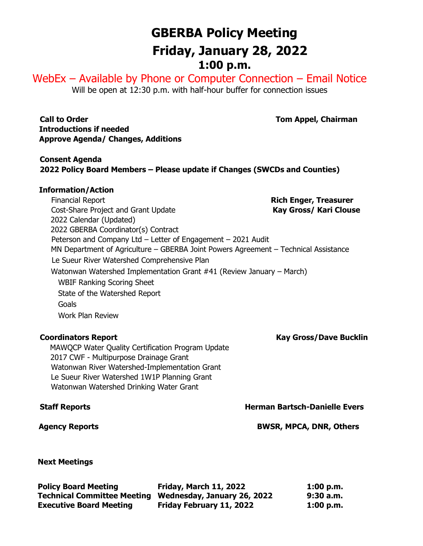# **GBERBA Policy Meeting Friday, January 28, 2022 1:00 p.m.**

WebEx – Available by Phone or Computer Connection – Email Notice Will be open at 12:30 p.m. with half-hour buffer for connection issues

**Call to Order Tom Appel, Chairman Introductions if needed Approve Agenda/ Changes, Additions**

**Consent Agenda 2022 Policy Board Members – Please update if Changes (SWCDs and Counties)**

## **Information/Action**

 Financial Report **Rich Enger, Treasurer** Cost-Share Project and Grant Update **Kay Gross/ Kari Clouse** 2022 Calendar (Updated) 2022 GBERBA Coordinator(s) Contract Peterson and Company Ltd – Letter of Engagement – 2021 Audit MN Department of Agriculture – GBERBA Joint Powers Agreement – Technical Assistance Le Sueur River Watershed Comprehensive Plan Watonwan Watershed Implementation Grant #41 (Review January – March) WBIF Ranking Scoring Sheet State of the Watershed Report Goals Work Plan Review

 MAWQCP Water Quality Certification Program Update 2017 CWF - Multipurpose Drainage Grant Watonwan River Watershed-Implementation Grant Le Sueur River Watershed 1W1P Planning Grant Watonwan Watershed Drinking Water Grant

 **Next Meetings**

| <b>Policy Board Meeting</b>        | Friday, March 11, 2022      | 1:00 p.m.   |
|------------------------------------|-----------------------------|-------------|
| <b>Technical Committee Meeting</b> | Wednesday, January 26, 2022 | $9:30$ a.m. |
| <b>Executive Board Meeting</b>     | Friday February 11, 2022    | 1:00 p.m.   |

# **Coordinators Report Coordinators Report Coordinators Report Coordinators Report Coordinators Report Coordinators According Coordinators Report Coordinators According Coordinators According Coordinators According Coordinat**

**Staff Reports Herman Bartsch-Danielle Evers Herman Bartsch-Danielle Evers** 

 **Agency Reports BWSR, MPCA, DNR, Others**